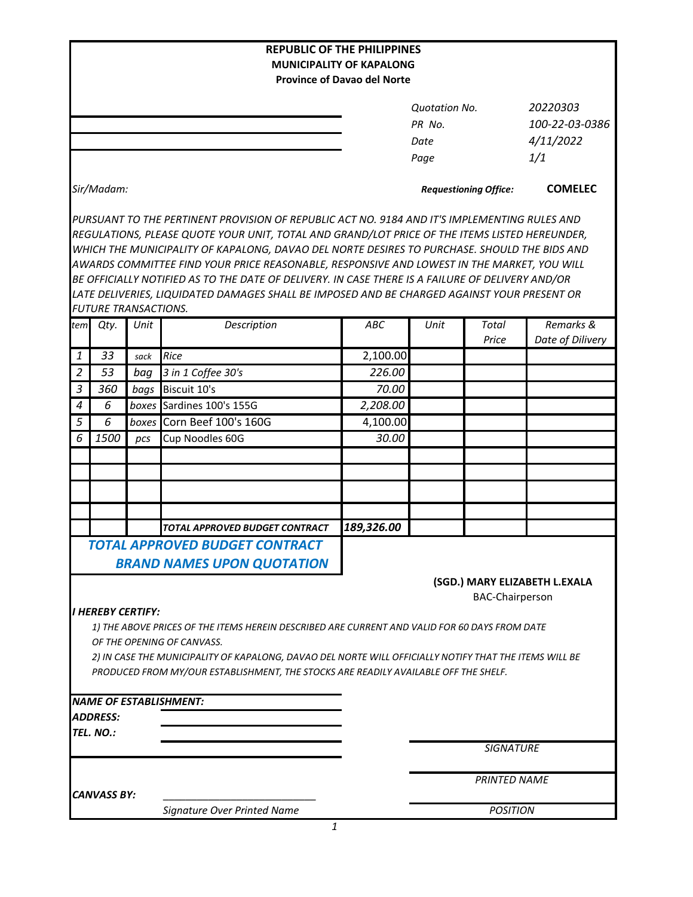|                                                                                                                           |                             |       | <b>REPUBLIC OF THE PHILIPPINES</b>                                                               |                                 |                              |                        |                               |
|---------------------------------------------------------------------------------------------------------------------------|-----------------------------|-------|--------------------------------------------------------------------------------------------------|---------------------------------|------------------------------|------------------------|-------------------------------|
|                                                                                                                           |                             |       |                                                                                                  | <b>MUNICIPALITY OF KAPALONG</b> |                              |                        |                               |
| <b>Province of Davao del Norte</b>                                                                                        |                             |       |                                                                                                  |                                 |                              |                        |                               |
|                                                                                                                           |                             |       |                                                                                                  |                                 | <b>Quotation No.</b>         |                        | 20220303                      |
|                                                                                                                           |                             |       |                                                                                                  |                                 | PR No.                       |                        | 100-22-03-0386                |
|                                                                                                                           |                             |       |                                                                                                  |                                 | Date                         |                        | 4/11/2022                     |
|                                                                                                                           |                             |       |                                                                                                  |                                 | Page                         |                        | 1/1                           |
|                                                                                                                           |                             |       |                                                                                                  |                                 |                              |                        |                               |
|                                                                                                                           | Sir/Madam:                  |       |                                                                                                  |                                 | <b>Requestioning Office:</b> |                        | <b>COMELEC</b>                |
|                                                                                                                           |                             |       | PURSUANT TO THE PERTINENT PROVISION OF REPUBLIC ACT NO. 9184 AND IT'S IMPLEMENTING RULES AND     |                                 |                              |                        |                               |
|                                                                                                                           |                             |       | REGULATIONS, PLEASE QUOTE YOUR UNIT, TOTAL AND GRAND/LOT PRICE OF THE ITEMS LISTED HEREUNDER,    |                                 |                              |                        |                               |
| WHICH THE MUNICIPALITY OF KAPALONG, DAVAO DEL NORTE DESIRES TO PURCHASE. SHOULD THE BIDS AND                              |                             |       |                                                                                                  |                                 |                              |                        |                               |
| AWARDS COMMITTEE FIND YOUR PRICE REASONABLE, RESPONSIVE AND LOWEST IN THE MARKET, YOU WILL                                |                             |       |                                                                                                  |                                 |                              |                        |                               |
|                                                                                                                           |                             |       | BE OFFICIALLY NOTIFIED AS TO THE DATE OF DELIVERY. IN CASE THERE IS A FAILURE OF DELIVERY AND/OR |                                 |                              |                        |                               |
|                                                                                                                           |                             |       | LATE DELIVERIES, LIQUIDATED DAMAGES SHALL BE IMPOSED AND BE CHARGED AGAINST YOUR PRESENT OR      |                                 |                              |                        |                               |
|                                                                                                                           | <b>FUTURE TRANSACTIONS.</b> |       |                                                                                                  |                                 |                              |                        |                               |
| tem                                                                                                                       | Qty.                        | Unit  | Description                                                                                      | ABC                             | Unit                         | <b>Total</b>           | Remarks &                     |
|                                                                                                                           | 33                          |       |                                                                                                  |                                 |                              | Price                  | Date of Dilivery              |
| 1                                                                                                                         | 53                          | sack  | Rice                                                                                             | 2,100.00<br>226.00              |                              |                        |                               |
| $\overline{2}$                                                                                                            |                             | baq   | 3 in 1 Coffee 30's                                                                               |                                 |                              |                        |                               |
| 3                                                                                                                         | 360                         | bags  | Biscuit 10's                                                                                     | 70.00                           |                              |                        |                               |
| 4                                                                                                                         | 6                           |       | boxes Sardines 100's 155G                                                                        | 2,208.00                        |                              |                        |                               |
| 5                                                                                                                         | 6                           | boxes | Corn Beef 100's 160G                                                                             | 4,100.00                        |                              |                        |                               |
| 6                                                                                                                         | 1500                        | pcs   | Cup Noodles 60G                                                                                  | 30.00                           |                              |                        |                               |
|                                                                                                                           |                             |       |                                                                                                  |                                 |                              |                        |                               |
|                                                                                                                           |                             |       |                                                                                                  |                                 |                              |                        |                               |
|                                                                                                                           |                             |       |                                                                                                  |                                 |                              |                        |                               |
|                                                                                                                           |                             |       |                                                                                                  |                                 |                              |                        |                               |
|                                                                                                                           |                             |       | TOTAL APPROVED BUDGET CONTRACT                                                                   | 189,326.00                      |                              |                        |                               |
|                                                                                                                           |                             |       | TOTAL APPROVED BUDGET CONTRACT                                                                   |                                 |                              |                        |                               |
|                                                                                                                           |                             |       | <b>BRAND NAMES UPON QUOTATION</b>                                                                |                                 |                              |                        |                               |
|                                                                                                                           |                             |       |                                                                                                  |                                 |                              |                        | (SGD.) MARY ELIZABETH L.EXALA |
|                                                                                                                           |                             |       |                                                                                                  |                                 |                              | <b>BAC-Chairperson</b> |                               |
|                                                                                                                           |                             |       |                                                                                                  |                                 |                              |                        |                               |
| <b>I HEREBY CERTIFY:</b><br>1) THE ABOVE PRICES OF THE ITEMS HEREIN DESCRIBED ARE CURRENT AND VALID FOR 60 DAYS FROM DATE |                             |       |                                                                                                  |                                 |                              |                        |                               |
| OF THE OPENING OF CANVASS.                                                                                                |                             |       |                                                                                                  |                                 |                              |                        |                               |
| 2) IN CASE THE MUNICIPALITY OF KAPALONG, DAVAO DEL NORTE WILL OFFICIALLY NOTIFY THAT THE ITEMS WILL BE                    |                             |       |                                                                                                  |                                 |                              |                        |                               |
|                                                                                                                           |                             |       | PRODUCED FROM MY/OUR ESTABLISHMENT, THE STOCKS ARE READILY AVAILABLE OFF THE SHELF.              |                                 |                              |                        |                               |
|                                                                                                                           |                             |       |                                                                                                  |                                 |                              |                        |                               |
|                                                                                                                           |                             |       | <b>NAME OF ESTABLISHMENT:</b>                                                                    |                                 |                              |                        |                               |
|                                                                                                                           | <b>ADDRESS:</b>             |       |                                                                                                  |                                 |                              |                        |                               |
|                                                                                                                           | TEL. NO.:                   |       |                                                                                                  |                                 |                              |                        |                               |
|                                                                                                                           |                             |       |                                                                                                  |                                 |                              | <b>SIGNATURE</b>       |                               |
| <b>CANVASS BY:</b>                                                                                                        |                             |       |                                                                                                  |                                 | <b>PRINTED NAME</b>          |                        |                               |
|                                                                                                                           |                             |       |                                                                                                  |                                 |                              |                        |                               |
|                                                                                                                           |                             |       | Signature Over Printed Name<br>1                                                                 |                                 |                              | <b>POSITION</b>        |                               |